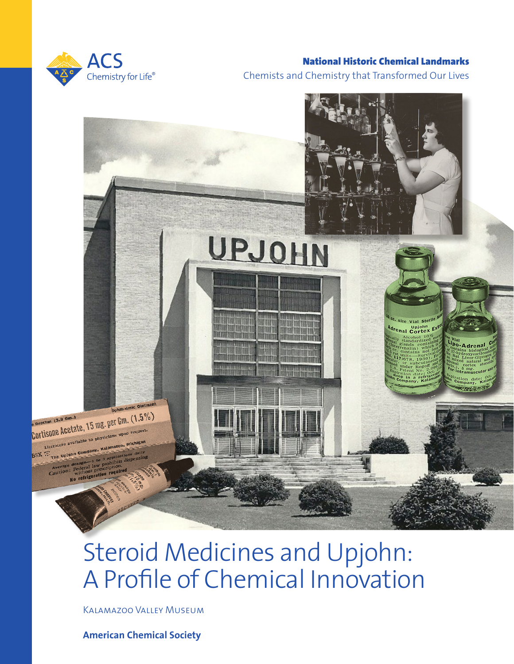

## National Historic Chemical Landmarks Chemists and Chemistry that Transformed Our Lives



# Steroid Medicines and Upjohn: A Profile of Chemical Innovation

Kalamazoo Valley Museum

**American Chemical Society**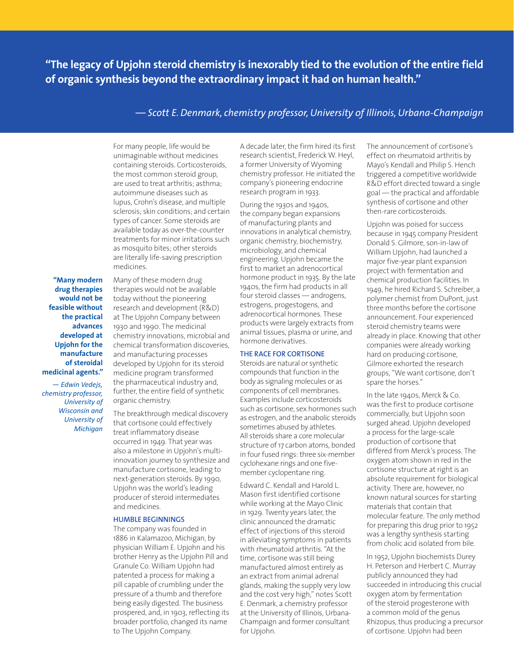**"The legacy of Upjohn steroid chemistry is inexorably tied to the evolution of the entire field of organic synthesis beyond the extraordinary impact it had on human health."**

### *— Scott E. Denmark, chemistry professor, University of Illinois, Urbana-Champaign*

For many people, life would be unimaginable without medicines containing steroids. Corticosteroids, the most common steroid group, are used to treat arthritis; asthma; autoimmune diseases such as lupus, Crohn's disease, and multiple sclerosis; skin conditions; and certain types of cancer. Some steroids are available today as over-the-counter treatments for minor irritations such as mosquito bites; other steroids are literally life-saving prescription medicines.

**"Many modern drug therapies would not be feasible without the practical advances developed at Upjohn for the manufacture of steroidal medicinal agents."**

*— Edwin Vedejs, chemistry professor, University of Wisconsin and University of Michigan*

Many of these modern drug therapies would not be available today without the pioneering research and development (R&D) at The Upjohn Company between 1930 and 1990. The medicinal chemistry innovations, microbial and chemical transformation discoveries, and manufacturing processes developed by Upjohn for its steroid medicine program transformed the pharmaceutical industry and, further, the entire field of synthetic organic chemistry.

The breakthrough medical discovery that cortisone could effectively treat inflammatory disease occurred in 1949. That year was also a milestone in Upjohn's multiinnovation journey to synthesize and manufacture cortisone, leading to next-generation steroids. By 1990, Upjohn was the world's leading producer of steroid intermediates and medicines.

#### **HUMBLE BEGINNINGS**

The company was founded in 1886 in Kalamazoo, Michigan, by physician William E. Upjohn and his brother Henry as the Upjohn Pill and Granule Co. William Upjohn had patented a process for making a pill capable of crumbling under the pressure of a thumb and therefore being easily digested. The business prospered, and, in 1903, reflecting its broader portfolio, changed its name to The Upjohn Company.

A decade later, the firm hired its first research scientist, Frederick W. Heyl, a former University of Wyoming chemistry professor. He initiated the company's pioneering endocrine research program in 1933.

During the 1930s and 1940s, the company began expansions of manufacturing plants and innovations in analytical chemistry, organic chemistry, biochemistry, microbiology, and chemical engineering. Upjohn became the first to market an adrenocortical hormone product in 1935. By the late 1940s, the firm had products in all four steroid classes — androgens, estrogens, progestogens, and adrenocortical hormones. These products were largely extracts from animal tissues, plasma or urine, and hormone derivatives.

#### **THE RACE FOR CORTISONE**

Steroids are natural or synthetic compounds that function in the body as signaling molecules or as components of cell membranes. Examples include corticosteroids such as cortisone, sex hormones such as estrogen, and the anabolic steroids sometimes abused by athletes. All steroids share a core molecular structure of 17 carbon atoms, bonded in four fused rings: three six-member cyclohexane rings and one fivemember cyclopentane ring.

Edward C. Kendall and Harold L. Mason first identified cortisone while working at the Mayo Clinic in 1929. Twenty years later, the clinic announced the dramatic effect of injections of this steroid in alleviating symptoms in patients with rheumatoid arthritis. "At the time, cortisone was still being manufactured almost entirely as an extract from animal adrenal glands, making the supply very low and the cost very high," notes Scott E. Denmark, a chemistry professor at the University of Illinois, Urbana-Champaign and former consultant for Upjohn.

The announcement of cortisone's effect on rheumatoid arthritis by Mayo's Kendall and Philip S. Hench triggered a competitive worldwide R&D effort directed toward a single goal — the practical and affordable synthesis of cortisone and other then-rare corticosteroids.

Upjohn was poised for success because in 1945 company President Donald S. Gilmore, son-in-law of William Upjohn, had launched a major five-year plant expansion project with fermentation and chemical production facilities. In 1949, he hired Richard S. Schreiber, a polymer chemist from DuPont, just three months before the cortisone announcement. Four experienced steroid chemistry teams were already in place. Knowing that other companies were already working hard on producing cortisone, Gilmore exhorted the research groups, "We want cortisone, don't spare the horses."

In the late 1940s, Merck & Co. was the first to produce cortisone commercially, but Upjohn soon surged ahead. Upjohn developed a process for the large-scale production of cortisone that differed from Merck's process. The oxygen atom shown in red in the cortisone structure at right is an absolute requirement for biological activity. There are, however, no known natural sources for starting materials that contain that molecular feature. The only method for preparing this drug prior to 1952 was a lengthy synthesis starting from cholic acid isolated from bile.

In 1952, Upjohn biochemists Durey H. Peterson and Herbert C. Murray publicly announced they had succeeded in introducing this crucial oxygen atom by fermentation of the steroid progesterone with a common mold of the genus Rhizopus, thus producing a precursor of cortisone. Upjohn had been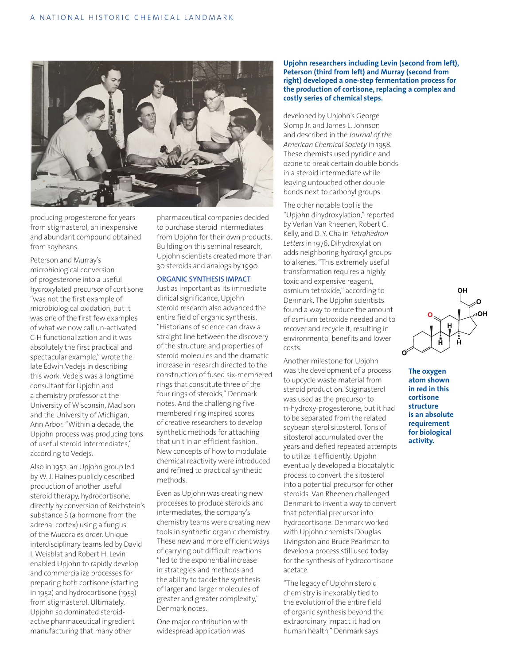![](_page_2_Picture_1.jpeg)

producing progesterone for years from stigmasterol, an inexpensive and abundant compound obtained from soybeans.

Peterson and Murray's microbiological conversion of progesterone into a useful hydroxylated precursor of cortisone "was not the first example of microbiological oxidation, but it was one of the first few examples of what we now call un-activated C-H functionalization and it was absolutely the first practical and spectacular example," wrote the late Edwin Vedejs in describing this work. Vedejs was a longtime consultant for Upjohn and a chemistry professor at the University of Wisconsin, Madison and the University of Michigan, Ann Arbor. "Within a decade, the Upjohn process was producing tons of useful steroid intermediates," according to Vedejs.

Also in 1952, an Upjohn group led by W. J. Haines publicly described production of another useful steroid therapy, hydrocortisone, directly by conversion of Reichstein's substance S (a hormone from the adrenal cortex) using a fungus of the Mucorales order. Unique interdisciplinary teams led by David I. Weisblat and Robert H. Levin enabled Upjohn to rapidly develop and commercialize processes for preparing both cortisone (starting in 1952) and hydrocortisone (1953) from stigmasterol. Ultimately, Upjohn so dominated steroidactive pharmaceutical ingredient manufacturing that many other

pharmaceutical companies decided to purchase steroid intermediates from Upjohn for their own products. Building on this seminal research, Upjohn scientists created more than 30 steroids and analogs by 1990.

#### **ORGANIC SYNTHESIS IMPACT**

Just as important as its immediate clinical significance, Upjohn steroid research also advanced the entire field of organic synthesis. "Historians of science can draw a straight line between the discovery of the structure and properties of steroid molecules and the dramatic increase in research directed to the construction of fused six-membered rings that constitute three of the four rings of steroids," Denmark notes. And the challenging fivemembered ring inspired scores of creative researchers to develop synthetic methods for attaching that unit in an efficient fashion. New concepts of how to modulate chemical reactivity were introduced and refined to practical synthetic methods.

Even as Upjohn was creating new processes to produce steroids and intermediates, the company's chemistry teams were creating new tools in synthetic organic chemistry. These new and more efficient ways of carrying out difficult reactions "led to the exponential increase in strategies and methods and the ability to tackle the synthesis of larger and larger molecules of greater and greater complexity," Denmark notes.

One major contribution with widespread application was

**Upjohn researchers including Levin (second from left), Peterson (third from left) and Murray (second from right) developed a one-step fermentation process for the production of cortisone, replacing a complex and costly series of chemical steps.** 

developed by Upjohn's George Slomp Jr. and James L. Johnson and described in the *Journal of the American Chemical Society* in 1958. These chemists used pyridine and ozone to break certain double bonds in a steroid intermediate while leaving untouched other double bonds next to carbonyl groups.

The other notable tool is the "Upjohn dihydroxylation," reported by Verlan Van Rheenen, Robert C. Kelly, and D. Y. Cha in *Tetrahedron Letters* in 1976. Dihydroxylation adds neighboring hydroxyl groups to alkenes. "This extremely useful transformation requires a highly toxic and expensive reagent, osmium tetroxide," according to Denmark. The Upjohn scientists found a way to reduce the amount of osmium tetroxide needed and to recover and recycle it, resulting in environmental benefits and lower costs.

Another milestone for Upjohn was the development of a process to upcycle waste material from steroid production. Stigmasterol was used as the precursor to 11-hydroxy-progesterone, but it had to be separated from the related soybean sterol sitosterol. Tons of sitosterol accumulated over the years and defied repeated attempts to utilize it efficiently. Upjohn eventually developed a biocatalytic process to convert the sitosterol into a potential precursor for other steroids. Van Rheenen challenged Denmark to invent a way to convert that potential precursor into hydrocortisone. Denmark worked with Upjohn chemists Douglas Livingston and Bruce Pearlman to develop a process still used today for the synthesis of hydrocortisone acetate.

"The legacy of Upjohn steroid chemistry is inexorably tied to the evolution of the entire field of organic synthesis beyond the extraordinary impact it had on human health," Denmark says.

**ЮН** 

**The oxygen atom shown in red in this cortisone structure is an absolute requirement for biological activity.**